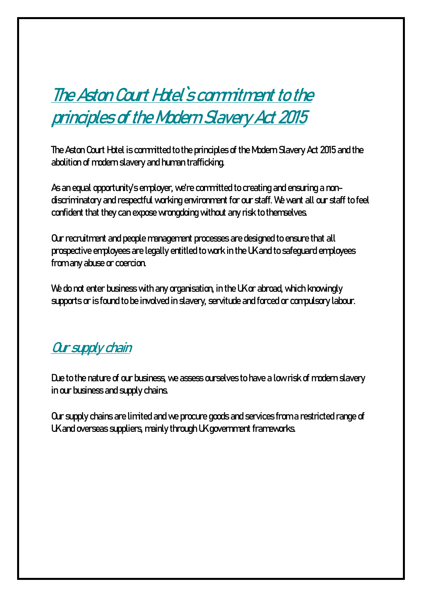## The Aston Court Hotel`s commitment to the principles of the Modern Slavery Act 2015

The Aston Court Hotel is committed to the principles of the Modern Slavery Act 2015 and the abolition of modern slavery and human trafficking.

As an equal opportunity's employer, we're committed to creating and ensuring a nondiscriminatory and respectful working environment for our staff. We want all our staff to feel confident that they can expose wrongdoing without any risk to themselves.

Our recruitment and people management processes are designed to ensure that all prospective employees are legally entitled to work in the UK and to safeguard employees from any abuse or coercion.

We do not enter business with any organisation, in the UK or abroad, which knowingly supports or is found to be involved in slavery, servitude and forced or compulsory labour.

## **Our supply chain**

Due to the nature of our business, we assess ourselves to have a low risk of modern slavery in our business and supply chains.

Our supply chains are limited and we procure goods and services from a restricted range of UK and overseas suppliers, mainly through UK government frameworks.